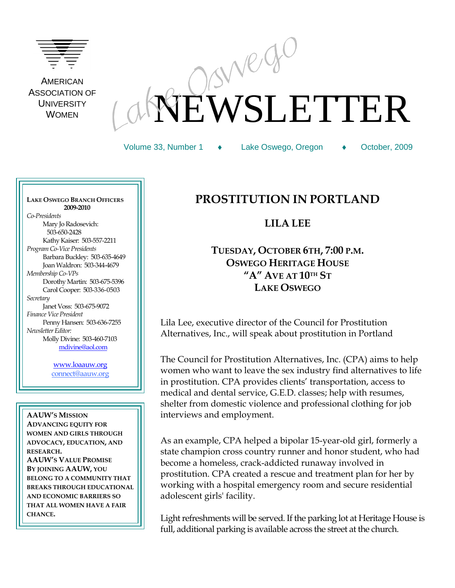

**AMERICAN** ASSOCIATION OF **UNIVERSITY** WOMEN

# EWSLETTER

Volume 33, Number 1 Lake Oswego, Oregon October, 2009

**LAKE OSWEGO BRANCH OFFICERS 2009-2010** *Co-Presidents* Mary Jo Radosevich: 503-650-2428 Kathy Kaiser: 503-557-2211 *Program Co-Vice Presidents* Barbara Buckley: 503-635-4649 Joan Waldron: 503-344-4679 *Membership Co-VPs* Dorothy Martin: 503-675-5396 Carol Cooper: 503-336-0503 *Secretary* Janet Voss: 503-675-9072 *Finance Vice President*  Penny Hansen: 503-636-7255 *Newsletter Editor:* Molly Divine: 503-460-7103 [mdivine@aol.com](mailto:mdivine@aol.com)

> [www.loaauw.org](http://www.loaauw.org/) connect@aauw.org

**AAUW'S MISSION ADVANCING EQUITY FOR WOMEN AND GIRLS THROUGH ADVOCACY, EDUCATION, AND RESEARCH. AAUW'S VALUE PROMISE BY JOINING AAUW, YOU BELONG TO A COMMUNITY THAT BREAKS THROUGH EDUCATIONAL AND ECONOMIC BARRIERS SO THAT ALL WOMEN HAVE A FAIR CHANCE.**

### **PROSTITUTION IN PORTLAND**

**LILA LEE**

**TUESDAY, OCTOBER 6TH, 7:00 P.M. OSWEGO HERITAGE HOUSE "A" AVE AT 10TH ST LAKE OSWEGO**

Lila Lee, executive director of the Council for Prostitution Alternatives, Inc., will speak about prostitution in Portland

The Council for Prostitution Alternatives, Inc. (CPA) aims to help women who want to leave the sex industry find alternatives to life in prostitution. CPA provides clients' transportation, access to medical and dental service, G.E.D. classes; help with resumes, shelter from domestic violence and professional clothing for job interviews and employment.

As an example, CPA helped a bipolar 15-year-old girl, formerly a state champion cross country runner and honor student, who had become a homeless, crack-addicted runaway involved in prostitution. CPA created a rescue and treatment plan for her by working with a hospital emergency room and secure residential adolescent girls' facility.

Light refreshments will be served. If the parking lot at Heritage House is full, additional parking is available across the street at the church.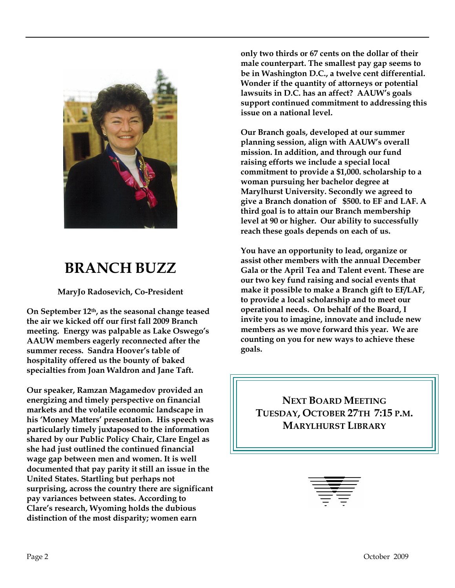

# **BRANCH BUZZ**

**MaryJo Radosevich, Co-President**

**On September 12th, as the seasonal change teased the air we kicked off our first fall 2009 Branch meeting. Energy was palpable as Lake Oswego's AAUW members eagerly reconnected after the summer recess. Sandra Hoover's table of hospitality offered us the bounty of baked specialties from Joan Waldron and Jane Taft.** 

**Our speaker, Ramzan Magamedov provided an energizing and timely perspective on financial markets and the volatile economic landscape in his 'Money Matters' presentation. His speech was particularly timely juxtaposed to the information shared by our Public Policy Chair, Clare Engel as she had just outlined the continued financial wage gap between men and women. It is well documented that pay parity it still an issue in the United States. Startling but perhaps not surprising, across the country there are significant pay variances between states. According to Clare's research, Wyoming holds the dubious distinction of the most disparity; women earn** 

**only two thirds or 67 cents on the dollar of their male counterpart. The smallest pay gap seems to be in Washington D.C., a twelve cent differential. Wonder if the quantity of attorneys or potential lawsuits in D.C. has an affect? AAUW's goals support continued commitment to addressing this issue on a national level.** 

**Our Branch goals, developed at our summer planning session, align with AAUW's overall mission. In addition, and through our fund raising efforts we include a special local commitment to provide a \$1,000. scholarship to a woman pursuing her bachelor degree at Marylhurst University. Secondly we agreed to give a Branch donation of \$500. to EF and LAF. A third goal is to attain our Branch membership level at 90 or higher. Our ability to successfully reach these goals depends on each of us.** 

**You have an opportunity to lead, organize or assist other members with the annual December Gala or the April Tea and Talent event. These are our two key fund raising and social events that make it possible to make a Branch gift to EF/LAF, to provide a local scholarship and to meet our operational needs. On behalf of the Board, I invite you to imagine, innovate and include new members as we move forward this year. We are counting on you for new ways to achieve these goals.** 

**NEXT BOARD MEETING TUESDAY, OCTOBER 27TH 7:15 P.M. MARYLHURST LIBRARY**

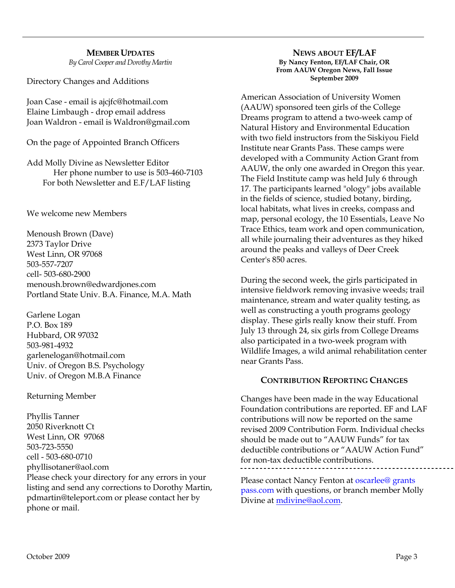## **MEMBER UPDATES**

*By Carol Cooper and Dorothy Martin*

Directory Changes and Additions

Joan Case - email is ajcjfc@hotmail.com Elaine Limbaugh - drop email address Joan Waldron - email is Waldron@gmail.com

On the page of Appointed Branch Officers

Add Molly Divine as Newsletter Editor Her phone number to use is 503-460-7103 For both Newsletter and E.F/LAF listing

We welcome new Members

Menoush Brown (Dave) 2373 Taylor Drive West Linn, OR 97068 503-557-7207 cell- 503-680-2900 menoush.brown@edwardjones.com Portland State Univ. B.A. Finance, M.A. Math

Garlene Logan P.O. Box 189 Hubbard, OR 97032 503-981-4932 garlenelogan@hotmail.com Univ. of Oregon B.S. Psychology Univ. of Oregon M.B.A Finance

#### Returning Member

Phyllis Tanner 2050 Riverknott Ct West Linn, OR 97068 503-723-5550 cell - 503-680-0710 phyllisotaner@aol.com Please check your directory for any errors in your listing and send any corrections to Dorothy Martin, pdmartin@teleport.com or please contact her by phone or mail.

**NEWS ABOUT EF/LAF By Nancy Fenton, EF/LAF Chair, OR From AAUW Oregon News, Fall Issue September 2009**

American Association of University Women (AAUW) sponsored teen girls of the College Dreams program to attend a two-week camp of Natural History and Environmental Education with two field instructors from the Siskiyou Field Institute near Grants Pass. These camps were developed with a Community Action Grant from AAUW, the only one awarded in Oregon this year. The Field Institute camp was held July 6 through 17. The participants learned "ology" jobs available in the fields of science, studied botany, birding, local habitats, what lives in creeks, compass and map, personal ecology, the 10 Essentials, Leave No Trace Ethics, team work and open communication, all while journaling their adventures as they hiked around the peaks and valleys of Deer Creek Center's 850 acres.

During the second week, the girls participated in intensive fieldwork removing invasive weeds; trail maintenance, stream and water quality testing, as well as constructing a youth programs geology display. These girls really know their stuff. From July 13 through 24, six girls from College Dreams also participated in a two-week program with Wildlife Images, a wild animal rehabilitation center near Grants Pass.

#### **CONTRIBUTION REPORTING CHANGES**

Changes have been made in the way Educational Foundation contributions are reported. EF and LAF contributions will now be reported on the same revised 2009 Contribution Form. Individual checks should be made out to "AAUW Funds" for tax deductible contributions or "AAUW Action Fund" for non-tax deductible contributions.

Please contact Nancy Fenton at oscarlee@ grants pass.com with questions, or branch member Molly Divine at [mdivine@aol.com.](mailto:mdivine@aol.com)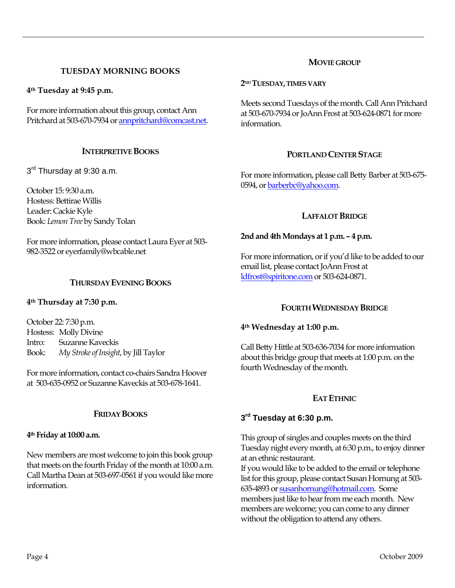#### **TUESDAY MORNING BOOKS**

**4th Tuesday at 9:45 p.m.**

For more information about this group, contact Ann Pritchard at 503-670-7934 o[r annpritchard@comcast.net.](mailto:annpritchard@comcast.net)

#### **INTERPRETIVE BOOKS**

3<sup>rd</sup> Thursday at 9:30 a.m.

October 15: 9:30 a.m. Hostess: Bettirae Willis Leader: Cackie Kyle Book: *Lemon Tree* by Sandy Tolan

For more information, please contact Laura Eyer at 503- 982-3522 or eyerfamily@wbcable.net

#### **THURSDAY EVENING BOOKS**

#### **4th Thursday at 7:30 p.m.**

October 22: 7:30 p.m. Hostess: Molly Divine Intro: Suzanne Kaveckis Book: *My Stroke of Insight*, by Jill Taylor

For more information, contact co-chairs Sandra Hoover at 503-635-0952 or Suzanne Kaveckis at 503-678-1641.

#### **FRIDAY BOOKS**

#### **4th Friday at 10:00 a.m.**

New members are most welcome to join this book group that meets on the fourth Friday of the month at 10:00 a.m. Call Martha Dean at 503-697-0561 if you would like more information.

#### **MOVIE GROUP**

#### **2ND TUESDAY,TIMES VARY**

Meets second Tuesdays of the month. Call Ann Pritchard at 503-670-7934 or JoAnn Frost at 503-624-0871 for more information.

#### **PORTLAND CENTER STAGE**

For more information, please call Betty Barber at 503-675- 0594, o[r barberbc@yahoo.com.](mailto:barberbc@yahoo.com) 

#### **LAFFALOT BRIDGE**

#### **2nd and 4th Mondays at 1 p.m. – 4 p.m.**

For more information, or if you'd like to be added to our email list, please contact JoAnn Frost at [ldfrost@spiritone.com](mailto:ldfrost@spiritone.com) or 503-624-0871.

#### **FOURTH WEDNESDAY BRIDGE**

#### **4th Wednesday at 1:00 p.m.**

Call Betty Hittle at 503-636-7034 for more information about this bridge group that meets at 1:00 p.m. on the fourth Wednesday of the month.

#### **EAT ETHNIC**

#### **3 rd Tuesday at 6:30 p.m.**

This group of singles and couples meets on the third Tuesday night every month, at 6:30 p.m., to enjoy dinner at an ethnic restaurant.

If you would like to be added to the email or telephone list for this group, please contact Susan Hornung at 503- 635-4893 o[r susanhornung@hotmail.com.](http://mailcenter.comcast.net/wmc/v/wm/45FDFA22000D96810000035A22007503309B9D0E08050C01049B0A020E06?cmd=ComposeTo&adr=susanhornung%40hotmail%2Ecom&sid=c0) Some members just like to hear from me each month. New members are welcome; you can come to any dinner without the obligation to attend any others.